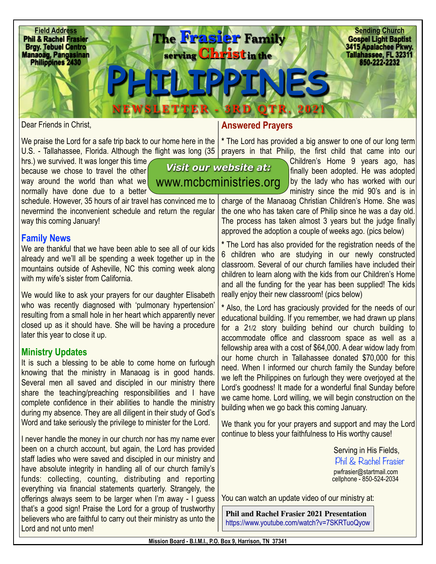

*Visit our website at:* 

Dear Friends in Christ,

We praise the Lord for a safe trip back to our home here in the  $\vert$ 

hrs.) we survived. It was longer this time, because we chose to travel the other way around the world than what we normally have done due to a better

schedule. However, 35 hours of air travel has convinced me to nevermind the inconvenient schedule and return the regular way this coming January!

## **Family News**

We are thankful that we have been able to see all of our kids already and we'll all be spending a week together up in the mountains outside of Asheville, NC this coming week along with my wife's sister from California.

We would like to ask your prayers for our daughter Elisabeth who was recently diagnosed with 'pulmonary hypertension' resulting from a small hole in her heart which apparently never closed up as it should have. She will be having a procedure later this year to close it up.

## **Ministry Updates**

It is such a blessing to be able to come home on furlough knowing that the ministry in Manaoag is in good hands. Several men all saved and discipled in our ministry there share the teaching/preaching responsibilities and I have complete confidence in their abilities to handle the ministry during my absence. They are all diligent in their study of God's Word and take seriously the privilege to minister for the Lord.

I never handle the money in our church nor has my name ever been on a church account, but again, the Lord has provided staff ladies who were saved and discipled in our ministry and have absolute integrity in handling all of our church family's funds: collecting, counting, distributing and reporting everything via financial statements quarterly. Strangely, the offerings always seem to be larger when I'm away - I guess that's a good sign! Praise the Lord for a group of trustworthy believers who are faithful to carry out their ministry as unto the Lord and not unto men!

## **Answered Prayers**

U.S. - Tallahassee, Florida. Although the flight was long (35 | prayers in that Philip, the first child that came into our **\*** The Lord has provided a big answer to one of our long term

> Children's Home 9 years ago, has finally been adopted. He was adopted by the lady who has worked with our ministry since the mid 90's and is in [www.mcbcministries.org](http://www.mcbcministries.org)

charge of the Manaoag Christian Children's Home. She was the one who has taken care of Philip since he was a day old. The process has taken almost 3 years but the judge finally approved the adoption a couple of weeks ago. (pics below)

**\*** The Lord has also provided for the registration needs of the 6 children who are studying in our newly constructed classroom. Several of our church families have included their children to learn along with the kids from our Children's Home and all the funding for the year has been supplied! The kids really enjoy their new classroom! (pics below)

**\*** Also, the Lord has graciously provided for the needs of our educational building. If you remember, we had drawn up plans for a 21/2 story building behind our church building to accommodate office and classroom space as well as a fellowship area with a cost of \$64,000. A dear widow lady from our home church in Tallahassee donated \$70,000 for this need. When I informed our church family the Sunday before we left the Philippines on furlough they were overjoyed at the Lord's goodness! It made for a wonderful final Sunday before we came home. Lord willing, we will begin construction on the building when we go back this coming January.

We thank you for your prayers and support and may the Lord continue to bless your faithfulness to His worthy cause!

> Serving in His Fields, Phil & Rachel Frasier [pwfrasier@startmail.com](mailto:pwfrasier@startmail.com) cellphone - 850-524-2034

You can watch an update video of our ministry at:

**Phil and Rachel Frasier 2021 Presentation** <https://www.youtube.com/watch?v=7SKRTuoQyow>